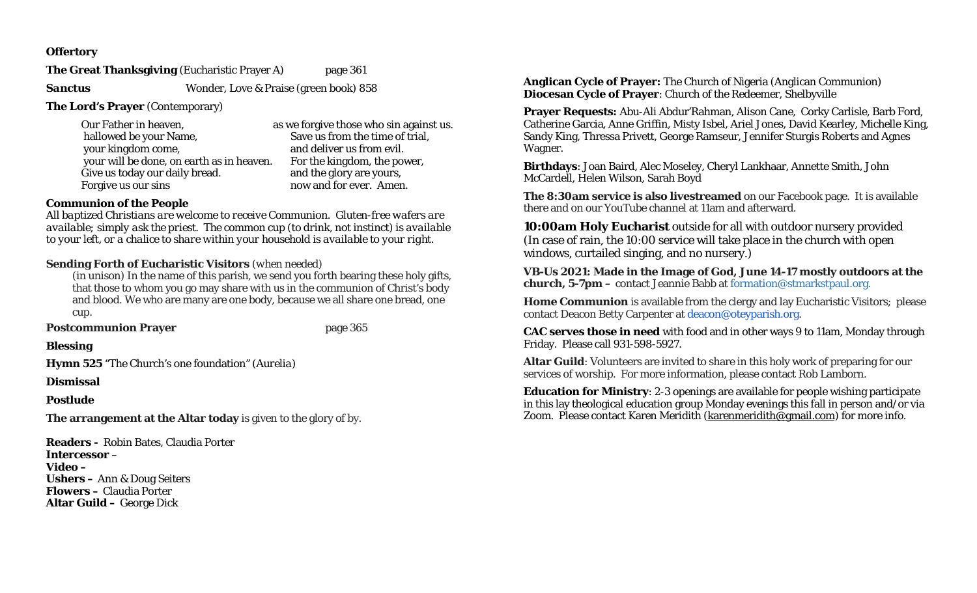## **Offertory**

**The Great Thanksgiving (Eucharistic Prayer A) page 361** 

**Sanctus Wonder, Love & Praise (green book) 858** 

**The Lord's Prayer** (Contemporary)

| Our Father in heaven,                     | as we forgive those who sin against us. |
|-------------------------------------------|-----------------------------------------|
| hallowed be your Name,                    | Save us from the time of trial,         |
| your kingdom come,                        | and deliver us from evil.               |
| your will be done, on earth as in heaven. | For the kingdom, the power,             |
| Give us today our daily bread.            | and the glory are yours,                |
| Forgive us our sins                       | now and for ever. Amen.                 |

# **Communion of the People**

*All baptized Christians are welcome to receive Communion. Gluten-free wafers are available; simply ask the priest. The common cup (to drink, not instinct) is available to your left, or a chalice to share within your household is available to your right.* 

# **Sending Forth of Eucharistic Visitors** *(when needed)*

*(in unison)* In the name of this parish, we send you forth bearing these holy gifts, that those to whom you go may share with us in the communion of Christ's body and blood. We who are many are one body, because we all share one bread, one cup.

**Postcommunion Prayer by the page 365** 

**Blessing** 

**Hymn 525** "The Church's one foundation*" (Aurelia)*

**Dismissal** 

## **Postlude**

**The arrangement at the Altar today** is given to the glory of by.

**Readers -** Robin Bates, Claudia Porter **Intercessor** –**Video – Ushers –** Ann & Doug Seiters **Flowers –** Claudia Porter **Altar Guild –** George Dick

**Anglican Cycle of Prayer:** The Church of Nigeria (Anglican Communion) **Diocesan Cycle of Prayer**: Church of the Redeemer, Shelbyville

**Prayer Requests:** Abu-Ali Abdur'Rahman, Alison Cane, Corky Carlisle, Barb Ford, Catherine Garcia, Anne Griffin, Misty Isbel, Ariel Jones, David Kearley, Michelle King, Sandy King, Thressa Privett, George Ramseur, Jennifer Sturgis Roberts and Agnes Wagner.

**Birthdays**: Joan Baird, Alec Moseley, Cheryl Lankhaar, Annette Smith, John McCardell, Helen Wilson, Sarah Boyd

**The 8:30am service is also livestreamed** on our Facebook page. It is available there and on our YouTube channel at 11am and afterward.

**10:00am Holy Eucharist** outside for all with outdoor nursery provided (In case of rain, the 10:00 service will take place in the church with open windows, curtailed singing, and no nursery.)

**VB-Us 2021: Made in the Image of God, June 14-17 mostly outdoors at the church, 5-7pm –** contact Jeannie Babb at formation@stmarkstpaul.org.

**Home Communion** is available from the clergy and lay Eucharistic Visitors; please contact Deacon Betty Carpenter at deacon@oteyparish.org.

**CAC serves those in need** with food and in other ways 9 to 11am, Monday through Friday. Please call 931-598-5927.

**Altar Guild**: Volunteers are invited to share in this holy work of preparing for our services of worship. For more information, please contact Rob Lamborn.

**Education for Ministry**: 2-3 openings are available for people wishing participate in this lay theological education group Monday evenings this fall in person and/or via Zoom. Please contact Karen Meridith (karenmeridith@gmail.com) for more info.